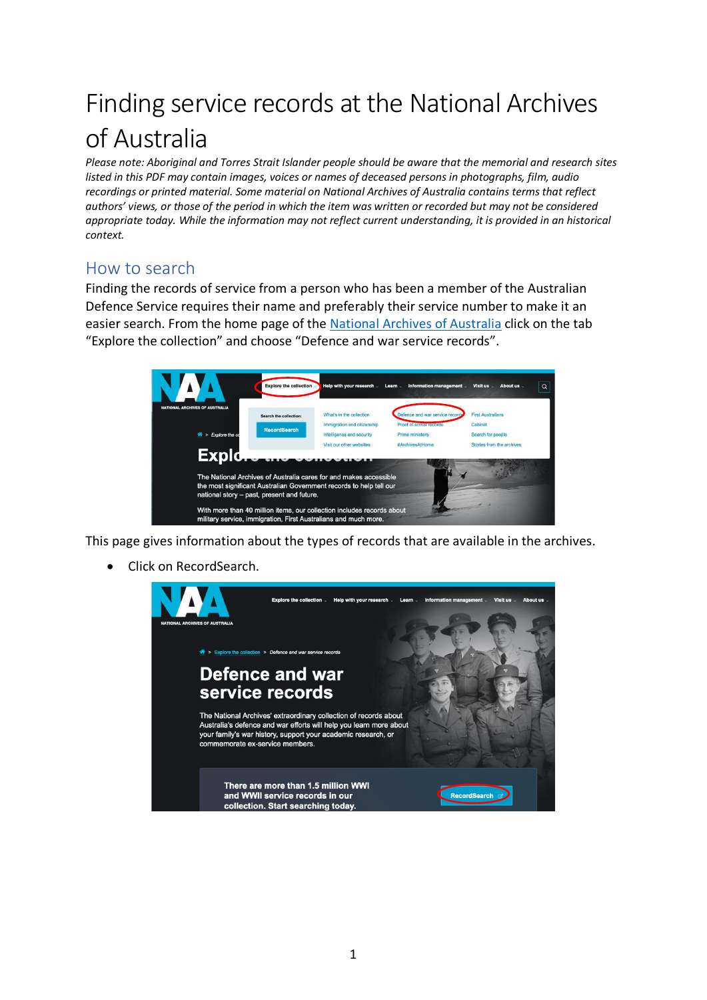## Finding service records at the National Archives of Australia

*Please note: Aboriginal and Torres Strait Islander people should be aware that the memorial and research sites listed in this PDF may contain images, voices or names of deceased persons in photographs, film, audio recordings or printed material. Some material on National Archives of Australia contains terms that reflect authors' views, or those of the period in which the item was written or recorded but may not be considered*  appropriate today. While the information may not reflect current understanding, it is provided in an historical *context.*

## How to search

Finding the records of service from a person who has been a member of the Australian Defence Service requires their name and preferably their service number to make it an easier search. From the home page of the [National Archives of Australia](https://www.naa.gov.au/) click on the tab "Explore the collection" and choose "Defence and war service records".



This page gives information about the types of records that are available in the archives.

• Click on RecordSearch.

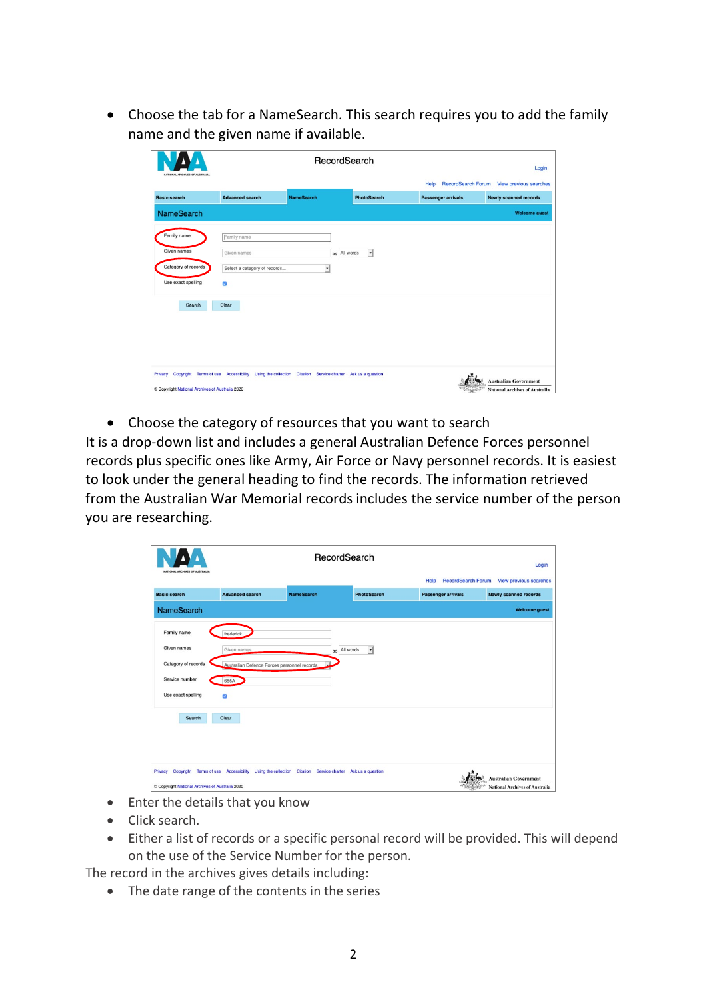• Choose the tab for a NameSearch. This search requires you to add the family name and the given name if available.

| NATIONAL ARCHIVES OF AUSTRALIA                | RecordSearch                                                                                                 |                   |                                          |                                   | Login                                                                 |
|-----------------------------------------------|--------------------------------------------------------------------------------------------------------------|-------------------|------------------------------------------|-----------------------------------|-----------------------------------------------------------------------|
|                                               |                                                                                                              |                   |                                          | <b>RecordSearch Forum</b><br>Help | View previous searches                                                |
| <b>Basic search</b>                           | <b>Advanced search</b>                                                                                       | <b>NameSearch</b> | <b>PhotoSearch</b>                       | <b>Passenger arrivals</b>         | <b>Newly scanned records</b>                                          |
| <b>NameSearch</b>                             |                                                                                                              |                   |                                          |                                   | <b>Welcome guest</b>                                                  |
| Family name                                   | Family name                                                                                                  |                   |                                          |                                   |                                                                       |
| Given names                                   | Given names                                                                                                  |                   | as All words<br>$\overline{\phantom{a}}$ |                                   |                                                                       |
| Category of records                           | Select a category of records                                                                                 | $\bullet$         |                                          |                                   |                                                                       |
| Use exact spelling                            | ø                                                                                                            |                   |                                          |                                   |                                                                       |
| Search                                        | Clear                                                                                                        |                   |                                          |                                   |                                                                       |
| Copyright National Archives of Australia 2020 | Privacy Copyright Terms of use Accessibility Using the collection Citation Service charter Ask us a question |                   |                                          |                                   | <b>Australian Government</b><br><b>National Archives of Australia</b> |

• Choose the category of resources that you want to search

It is a drop-down list and includes a general Australian Defence Forces personnel records plus specific ones like Army, Air Force or Navy personnel records. It is easiest to look under the general heading to find the records. The information retrieved from the Australian War Memorial records includes the service number of the person you are researching.

| NATIONAL ARCHIVES OF AUSTRALIA                             | RecordSearch                                                                                         |                   |                     | Login                             |                                                                       |
|------------------------------------------------------------|------------------------------------------------------------------------------------------------------|-------------------|---------------------|-----------------------------------|-----------------------------------------------------------------------|
|                                                            |                                                                                                      |                   |                     | <b>RecordSearch Forum</b><br>Help | <b>View previous searches</b>                                         |
| <b>Basic search</b>                                        | <b>Advanced search</b>                                                                               | <b>NameSearch</b> | <b>PhotoSearch</b>  | <b>Passenger arrivals</b>         | <b>Newly scanned records</b>                                          |
| <b>NameSearch</b>                                          |                                                                                                      |                   |                     |                                   | <b>Welcome guest</b>                                                  |
| Family name                                                | frederick                                                                                            |                   |                     |                                   |                                                                       |
| Given names                                                | Given names                                                                                          | All words<br>as   | $\vert \cdot \vert$ |                                   |                                                                       |
| Category of records                                        | Australian Defence Forces personnel records                                                          | $\mathbf{r}$      |                     |                                   |                                                                       |
| Service number                                             | 685A                                                                                                 |                   |                     |                                   |                                                                       |
| Use exact spelling                                         | ø                                                                                                    |                   |                     |                                   |                                                                       |
| Search                                                     | Clear                                                                                                |                   |                     |                                   |                                                                       |
| Privacy<br>© Copyright National Archives of Australia 2020 | Copyright Terms of use Accessibility Using the collection Citation Service charter Ask us a question |                   |                     |                                   | <b>Australian Government</b><br><b>National Archives of Australia</b> |

- Enter the details that you know
- Click search.
- Either a list of records or a specific personal record will be provided. This will depend on the use of the Service Number for the person.

The record in the archives gives details including:

• The date range of the contents in the series